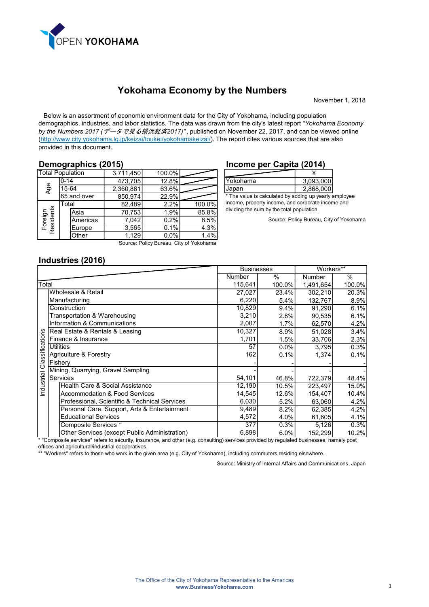

November 1, 2018

 Below is an assortment of economic environment data for the City of Yokohama, including population demographics, industries, and labor statistics. The data was drawn from the city's latest report "Yokohama Economy by the Numbers 2017 (データで見る横浜経済2017)", published on November 22, 2017, and can be viewed online [\(http://www.city.yokohama.lg.jp/keizai/toukei/yokohamakeizai/](http://www.city.yokohama.lg.jp/keizai/toukei/yokohamakeizai)). The report cites various sources that are also provided in this document.

## Demographics (2015)

| <b>Total Population</b>                 |          | 3,711,450   | 100.0%    |       |        |
|-----------------------------------------|----------|-------------|-----------|-------|--------|
|                                         | $0 - 14$ |             | 473,705   | 12.8% |        |
| Age                                     | 15-64    |             | 2,360,861 | 63.6% |        |
|                                         |          | 65 and over | 850,974   | 22.9% |        |
|                                         | Total    |             | 82,489    | 2.2%  | 100.0% |
|                                         |          | Asia        | 70,753    | 1.9%  | 85.8%  |
|                                         |          | Americas    | 7.042     | 0.2%  | 8.5%   |
| Foreign<br>Residents                    |          | Europe      | 3,565     | 0.1%  | 4.3%   |
|                                         |          | Other       | 1,129     | 0.0%  | 1.4%   |
| Source: Policy Bureau, City of Yokohama |          |             |           |       |        |

### Income per Capita (2014)

| Yokohama | 3,093,000 |
|----------|-----------|
| Japan    | 2,868,000 |

\* The value is calculated by adding up yearly employee income, property income, and corporate income and dividing the sum by the total population.

Source: Policy Bureau, City of Yokohama

## Industries (2016)

|            |                                               |         | <b>Businesses</b> |           | Workers**     |
|------------|-----------------------------------------------|---------|-------------------|-----------|---------------|
|            |                                               | Number  | $\%$              | Number    | $\frac{0}{0}$ |
| Total      |                                               | 115,641 | 100.0%            | 1,491,654 | 100.0%        |
|            | Wholesale & Retail                            | 27,027  | 23.4%             | 302,210   | 20.3%         |
|            | Manufacturing                                 | 6,220   | 5.4%              | 132,767   | 8.9%          |
|            | Construction                                  | 10,829  | 9.4%              | 91.290    | 6.1%          |
|            | Transportation & Warehousing                  | 3,210   | 2.8%              | 90,535    | 6.1%          |
|            | Information & Communications                  | 2,007   | 1.7%              | 62,570    | 4.2%          |
| SU         | Real Estate & Rentals & Leasing               | 10,327  | 8.9%              | 51,028    | 3.4%          |
|            | Finance & Insurance                           | 1,701   | 1.5%              | 33,706    | 2.3%          |
| ssificatio | <b>Utilities</b>                              | 57      | 0.0%              | 3,795     | 0.3%          |
|            | Agriculture & Forestry                        | 162     | 0.1%              | 1,374     | 0.1%          |
| čã         | Fishery                                       |         |                   |           |               |
|            | Mining, Quarrying, Gravel Sampling            |         |                   |           |               |
| Industrial | Services                                      | 54,101  | 46.8%             | 722,379   | 48.4%         |
|            | Health Care & Social Assistance               | 12,190  | 10.5%             | 223,497   | 15.0%         |
|            | <b>Accommodation &amp; Food Services</b>      | 14,545  | 12.6%             | 154,407   | 10.4%         |
|            | Professional, Scientific & Technical Services | 6,030   | 5.2%              | 63,060    | 4.2%          |
|            | Personal Care, Support, Arts & Entertainment  | 9,489   | 8.2%              | 62,385    | 4.2%          |
|            | <b>Educational Services</b>                   | 4,572   | 4.0%              | 61,605    | 4.1%          |
|            | Composite Services *                          | 377     | 0.3%              | 5,126     | 0.3%          |
|            | Other Services (except Public Administration) | 6,898   | 6.0%              | 152,299   | 10.2%         |

\* "Composite services" refers to security, insurance, and other (e.g. consulting) services provided by regulated businesses, namely post offices and agricultural/industrial cooperatives.

\*\* "Workers" refers to those who work in the given area (e.g. City of Yokohama), including commuters residing elsewhere.

Source: Ministry of Internal Affairs and Communications, Japan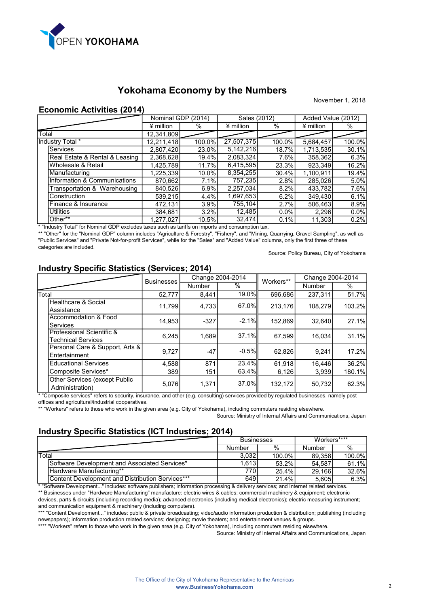

#### November 1, 2018

## Economic Activities (2014)

|       |                                |             | Nominal GDP (2014) | Sales (2012) |         | Added Value (2012) |        |
|-------|--------------------------------|-------------|--------------------|--------------|---------|--------------------|--------|
|       |                                | $*$ million | %                  | ¥ million    | %       | $*$ million        | %      |
| Total |                                | 12,341,809  |                    |              |         |                    |        |
|       | Industry Total *               | 12,211,418  | 100.0%             | 27,507,375   | 100.0%  | 5,684,457          | 100.0% |
|       | <b>Services</b>                | 2,807,420   | 23.0%              | 5,142,216    | 18.7%   | 1,713,535          | 30.1%  |
|       | Real Estate & Rental & Leasing | 2,368,628   | 19.4%              | 2,083,324    | 7.6%    | 358,362            | 6.3%   |
|       | Wholesale & Retail             | 1,425,789   | 11.7%              | 6,415,595    | 23.3%   | 923,349            | 16.2%  |
|       | Manufacturing                  | 1,225,339   | 10.0%              | 8,354,255    | 30.4%   | 1.100.911          | 19.4%  |
|       | Information & Communications   | 870,662     | 7.1%               | 757,235      | 2.8%    | 285,026            | 5.0%   |
|       | Transportation & Warehousing   | 840,526     | 6.9%               | 2,257,034    | 8.2%    | 433,782            | 7.6%   |
|       | Construction                   | 539,215     | 4.4%               | 1,697,653    | 6.2%    | 349,430            | 6.1%   |
|       | Finance & Insurance            | 472,131     | 3.9%               | 755,104      | 2.7%    | 506,463            | 8.9%   |
|       | <b>Utilities</b>               | 384,681     | 3.2%               | 12,485       | $0.0\%$ | 2,296              | 0.0%   |
|       | Other**                        | 1,277,027   | 10.5%              | 32,474       | 0.1%    | 11,303             | 0.2%   |

\* "Industry Total" for Nominal GDP excludes taxes such as tariffs on imports and consumption tax.

\*\* "Other" for the "Nominal GDP" column includes "Agriculture & Forestry", "Fishery", and "Mining, Quarrying, Gravel Sampling", as well as "Public Services" and "Private Not-for-profit Services", while for the "Sales" and "Added Value" columns, only the first three of these categories are included.

Source: Policy Bureau, City of Yokohama

# Industry Specific Statistics (Services; 2014)

|                                                                                                                                                                                            | <b>Businesses</b> | Change 2004-2014 |          | Workers** | Change 2004-2014 |        |
|--------------------------------------------------------------------------------------------------------------------------------------------------------------------------------------------|-------------------|------------------|----------|-----------|------------------|--------|
|                                                                                                                                                                                            |                   | <b>Number</b>    | %        |           | <b>Number</b>    | %      |
| <b>Total</b>                                                                                                                                                                               | 52,777            | 8,441            | 19.0%    | 696,686   | 237.311          | 51.7%  |
| Healthcare & Social<br>Assistance                                                                                                                                                          | 11.799            | 4.733            | 67.0%II  | 213,176   | 108.279          | 103.2% |
| Accommodation & Food<br>Services                                                                                                                                                           | 14,953            | $-327$           | $-2.1\%$ | 152,869   | 32.640           | 27.1%  |
| Professional Scientific &<br><b>Technical Services</b>                                                                                                                                     | 6.245             | 1.689            | 37.1%    | 67.599    | 16.034           | 31.1%  |
| Personal Care & Support, Arts &<br>Entertainment                                                                                                                                           | 9,727             | $-47$            | $-0.5\%$ | 62,826    | 9.241            | 17.2%  |
| <b>Educational Services</b>                                                                                                                                                                | 4,588             | 871              | 23.4%    | 61.918    | 16.446           | 36.2%  |
| Composite Services*                                                                                                                                                                        | 389               | 151              | 63.4%II  | 6,126     | 3,939            | 180.1% |
| Other Services (except Public<br>Administration)<br>* "Ogammerite semiceal" unfam te seminitur ina menses said ethem (a m-seminitum) semices municleaf humanidated humanises semistry weat | 5.076             | 1.371            | 37.0%II  | 132.172   | 50.732           | 62.3%  |

omposite services" refers to security, insurance, and other (e.g. consulting) services provided by regulated businesses, namely post offices and agricultural/industrial cooperatives.

\*\* "Workers" refers to those who work in the given area (e.g. City of Yokohama), including commuters residing elsewhere.

Source: Ministry of Internal Affairs and Communications, Japan

## Industry Specific Statistics (ICT Industries; 2014)

|                                                  | <b>Businesses</b> |        | Workers**** |           |
|--------------------------------------------------|-------------------|--------|-------------|-----------|
|                                                  | Number            | %      | Number      | $\%$      |
| Total                                            | 3.032             | 100.0% | 89.358      | $100.0\%$ |
| Software Development and Associated Services*    | 1.613 l           | 53.2%  | 54,587      | 61.1%     |
| Hardware Manufacturing**                         | 770               | 25.4%  | 29,166      | $32.6\%$  |
| Content Development and Distribution Services*** | 649               | 21.4%  | 5,605       | 6.3%      |

\* "Software Development..." includes: software publishers; information processing & delivery services; and Internet related services.

 \*\* Businesses under "Hardware Manufacturing" manufacture: electric wires & cables; commercial machinery & equipment; electronic devices, parts & circuits (including recording media); advanced electronics (including medical electronics); electric measuring instrument; and communication equipment & machinery (including computers).

 \*\*\* "Content Development..." includes: public & private broadcasting; video/audio information production & distribution; publishing (including newspapers); information production related services; designing; movie theaters; and entertainment venues & groups.

\*\*\*\* "Workers" refers to those who work in the given area (e.g. City of Yokohama), including commuters residing elsewhere.

Source: Ministry of Internal Affairs and Communications, Japan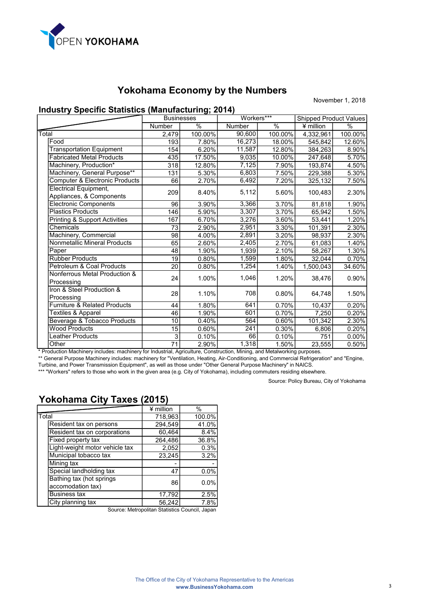

November 1, 2018

# Industry Specific Statistics (Manufacturing; 2014)

|                                                          | <b>Businesses</b> |         | Workers***    |         | <b>Shipped Product Values</b> |          |
|----------------------------------------------------------|-------------------|---------|---------------|---------|-------------------------------|----------|
|                                                          | Number            | $\%$    | <b>Number</b> | $\%$    | ¥ million                     | $\%$     |
| Total                                                    | 2,479             | 100.00% | 90,600        | 100.00% | 4,332,961                     | 100.00%  |
| Food                                                     | 193               | 7.80%   | 16,273        | 18.00%  | 545,842                       | 12.60%   |
| <b>Transportation Equipment</b>                          | 154               | 6.20%   | 11,587        | 12.80%  | 384,263                       | 8.90%    |
| <b>Fabricated Metal Products</b>                         | 435               | 17.50%  | 9,035         | 10.00%  | 247,648                       | 5.70%    |
| Machinery, Production*                                   | 318               | 12.80%  | 7,125         | 7.90%   | 193,874                       | 4.50%    |
| Machinery, General Purpose**                             | 131               | 5.30%   | 6,803         | 7.50%   | 229,388                       | 5.30%    |
| Computer & Electronic Products                           | 66                | 2.70%   | 6,492         | 7.20%   | 325,132                       | 7.50%    |
| <b>Electrical Equipment,</b><br>Appliances, & Components | 209               | 8.40%   | 5,112         | 5.60%   | 100,483                       | 2.30%    |
| <b>Electronic Components</b>                             | 96                | 3.90%   | 3,366         | 3.70%   | 81,818                        | 1.90%    |
| <b>Plastics Products</b>                                 | 146               | 5.90%   | 3,307         | 3.70%   | 65,942                        | 1.50%    |
| <b>Printing &amp; Support Activities</b>                 | 167               | 6.70%   | 3,276         | 3.60%   | 53,441                        | 1.20%    |
| Chemicals                                                | 73                | 2.90%   | 2,951         | 3.30%   | 101,391                       | 2.30%    |
| Machinery, Commercial                                    | 98                | 4.00%   | 2,891         | 3.20%   | 98,937                        | 2.30%    |
| <b>Nonmetallic Mineral Products</b>                      | 65                | 2.60%   | 2,405         | 2.70%   | 61,083                        | 1.40%    |
| Paper                                                    | 48                | 1.90%   | 1,939         | 2.10%   | 58.267                        | 1.30%    |
| <b>Rubber Products</b>                                   | 19                | 0.80%   | 1,599         | 1.80%   | 32,044                        | 0.70%    |
| Petroleum & Coal Products                                | 20                | 0.80%   | 1,254         | 1.40%   | 1,500,043                     | 34.60%   |
| Nonferrous Metal Production &<br>Processing              | 24                | 1.00%   | 1,046         | 1.20%   | 38,476                        | 0.90%    |
| Iron & Steel Production &<br>Processing                  | 28                | 1.10%   | 708           | 0.80%   | 64,748                        | 1.50%    |
| <b>Furniture &amp; Related Products</b>                  | 44                | 1.80%   | 641           | 0.70%   | 10.437                        | 0.20%    |
| <b>Textiles &amp; Apparel</b>                            | 46                | 1.90%   | 601           | 0.70%   | 7,250                         | 0.20%    |
| Beverage & Tobacco Products                              | 10                | 0.40%   | 564           | 0.60%   | 101,342                       | 2.30%    |
| <b>Wood Products</b>                                     | $\overline{15}$   | 0.60%   | 241           | 0.30%   | 6,806                         | 0.20%    |
| <b>Leather Products</b>                                  | 3                 | 0.10%   | 66            | 0.10%   | 751                           | $0.00\%$ |
| Other                                                    | 71                | 2.90%   | 1,318         | 1.50%   | 23,555                        | 0.50%    |

Production Machinery includes: machinery for Industrial, Agriculture, Construction, Mining, and Metalworking purposes. \*\* General Purpose Machinery includes: machinery for "Ventilation, Heating, Air-Conditioning, and Commercial Refrigeration" and "Engine,

Turbine, and Power Transmission Equipment", as well as those under "Other General Purpose Machinery" in NAICS.

\*\*\* "Workers" refers to those who work in the given area (e.g. City of Yokohama), including commuters residing elsewhere.

Source: Policy Bureau, City of Yokohama

# Yokohama City Taxes (2015)

|                                | ¥ million                                     | $\%$   |
|--------------------------------|-----------------------------------------------|--------|
| Total                          | 718,963                                       | 100.0% |
| Resident tax on persons        | 294,549                                       | 41.0%  |
| Resident tax on corporations   | 60,464                                        | 8.4%   |
| Fixed property tax             | 264,486                                       | 36.8%  |
| Light-weight motor vehicle tax | 2,052                                         | 0.3%   |
| Municipal tobacco tax          | 23,245                                        | 3.2%   |
| Mining tax                     |                                               |        |
| Special landholding tax        | 47                                            | 0.0%   |
| Bathing tax (hot springs       | 86                                            | 0.0%   |
| accomodation tax)              |                                               |        |
| <b>Business tax</b>            | 17,792                                        | 2.5%   |
| City planning tax              | 56,242                                        | 7.8%   |
|                                | Source: Metropolitan Statistics Council Japan |        |

Source: Metropolitan Statistics Council, Japan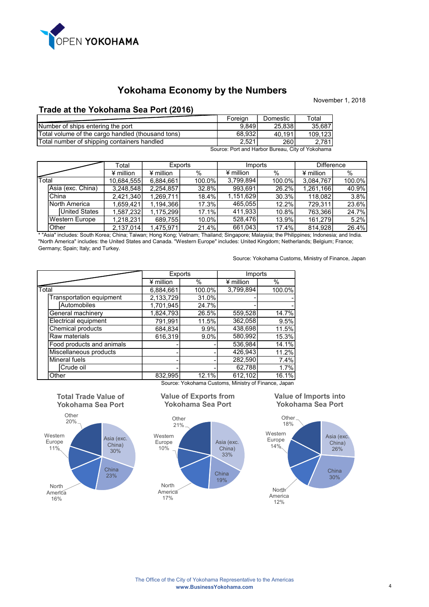

## Trade at the Yokohama Sea Port (2016)

|                                                   | Foreign | Domestic    | Total   |
|---------------------------------------------------|---------|-------------|---------|
| Number of ships entering the port                 | 9.849   | 25,838      | 35,687  |
| Total volume of the cargo handled (thousand tons) | 68.932  | 40.191      | 109.123 |
| Total number of shipping containers handled       | 2.521   | <b>2601</b> | 2.781   |
| Source: Port and Harbor Bureau, City of Yokohama  |         |             |         |

|             |                       | Total       | <b>Exports</b> |        | Imports     |        | <b>Difference</b> |         |
|-------------|-----------------------|-------------|----------------|--------|-------------|--------|-------------------|---------|
|             |                       | $*$ million | $4$ million    | %      | $*$ million | %      | $*$ million       | $\%$    |
| $\tau$ otal |                       | 10,684,555  | 6,884,661      | 100.0% | 3,799,894   | 100.0% | 3.084.767         | 100.0%  |
|             | Asia (exc. China)     | 3.248.548   | 2,254,857      | 32.8%  | 993.691     | 26.2%  | 1,261,166         | 40.9%   |
|             | China                 | 2,421,340   | 1,269,711      | 18.4%  | 1,151,629   | 30.3%  | 118,082           | $3.8\%$ |
|             | North America         | 1.659.421   | 1,194,366      | 17.3%  | 465.055     | 12.2%  | 729.311           | 23.6%   |
|             | <b>United States</b>  | 1,587,232   | 1,175,299      | 17.1%  | 411,933     | 10.8%  | 763,366           | 24.7%   |
|             | <b>Western Europe</b> | 1,218,231   | 689,755        | 10.0%  | 528.476     | 13.9%  | 161.279           | 5.2%    |
|             | Other                 | 2,137,014   | 1,475,971      | 21.4%  | 661,043     | 17.4%  | 814.928           | 26.4%   |

\* "Asia" includes: South Korea; China; Taiwan; Hong Kong; Vietnam; Thailand; Singapore; Malaysia; the Philippines; Indonesia; and India. "North America" includes: the United States and Canada. "Western Europe" includes: United Kingdom; Netherlands; Belgium; France; Germany; Spain; Italy; and Turkey.

Source: Yokohama Customs, Ministry of Finance, Japan

November 1, 2018

|       |                                 | <b>Exports</b> |        | Imports                                                  |        |  |
|-------|---------------------------------|----------------|--------|----------------------------------------------------------|--------|--|
|       |                                 | $4$ million    | $\%$   | ¥ million                                                | $\%$   |  |
| Total |                                 | 6,884,661      | 100.0% | 3,799,894                                                | 100.0% |  |
|       | <b>Transportation equipment</b> | 2,133,729      | 31.0%  |                                                          |        |  |
|       | Automobiles                     | 1,701,945      | 24.7%  |                                                          |        |  |
|       | General machinery               | 1,824,793      | 26.5%  | 559,528                                                  | 14.7%  |  |
|       | <b>Electrical equipment</b>     | 791,991        | 11.5%  | 362,058                                                  | 9.5%   |  |
|       | Chemical products               | 684.834        | 9.9%   | 438,698                                                  | 11.5%  |  |
|       | Raw materials                   | 616,319        | 9.0%   | 580,992                                                  | 15.3%  |  |
|       | Food products and animals       |                |        | 536,984                                                  | 14.1%  |  |
|       | Miscellaneous products          |                |        | 426.943                                                  | 11.2%  |  |
|       | <b>Mineral fuels</b>            |                |        | 282,590                                                  | 7.4%   |  |
|       | Crude oil                       |                |        | 62,788                                                   | 1.7%   |  |
|       | Other                           | 832,995        | 12.1%  | 612,102                                                  | 16.1%  |  |
|       |                                 |                |        | Correor Valcebourn Cristopen, Minister of Finance, Jones |        |  |

Source: Yokohama Customs, Ministry of Finance, Japan



Total Trade Value of

#### Value of Exports from Yokohama Sea Port



### Value of Imports into Yokohama Sea Port